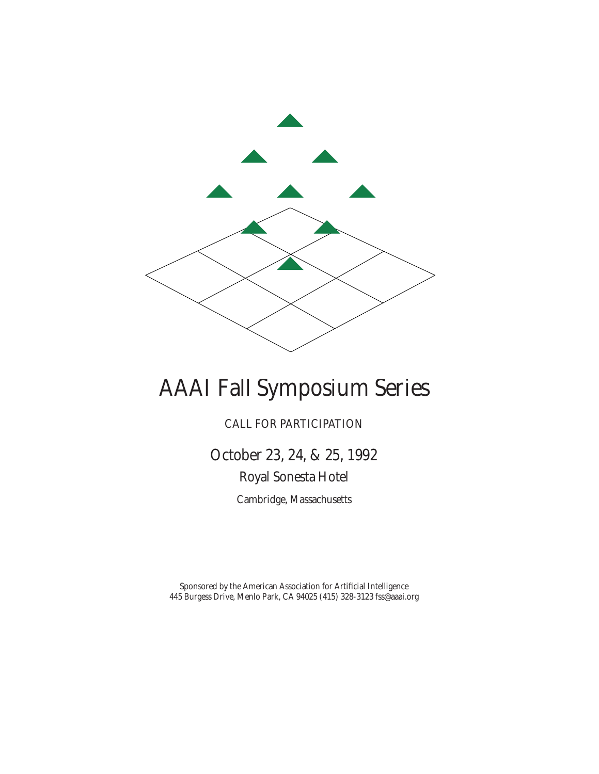

# AAAI Fall Symposium Series

CALL FOR PARTICIPATION

October 23, 24, & 25, 1992 Royal Sonesta Hotel

Cambridge, Massachusetts

Sponsored by the American Association for Artificial Intelligence 445 Burgess Drive, Menlo Park, CA 94025 (415) 328-3123 fss@aaai.org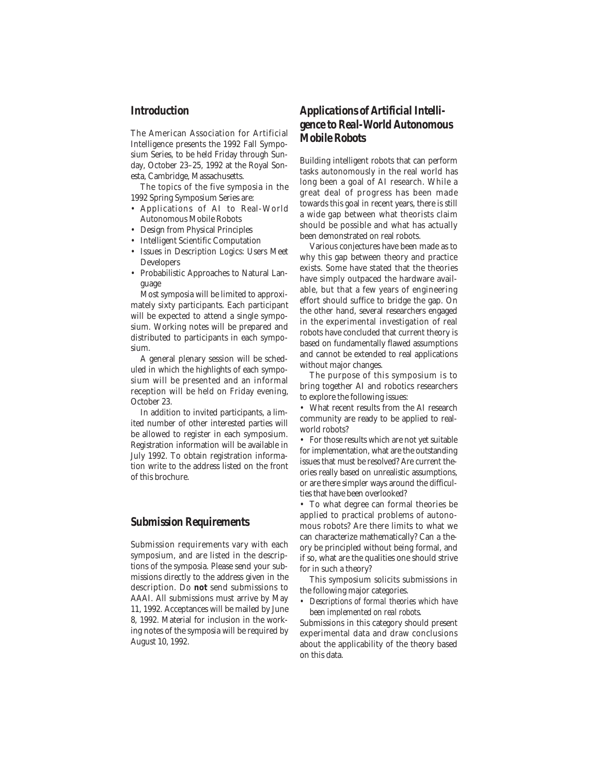#### *Introduction*

The American Association for Artificial Intelligence presents the 1992 Fall Symposium Series, to be held Friday through Sunday, October 23–25, 1992 at the Royal Sonesta, Cambridge, Massachusetts.

The topics of the five symposia in the 1992 Spring Symposium Series are:

- Applications of AI to Real-World Autonomous Mobile Robots
- Design from Physical Principles
- Intelligent Scientific Computation
- Issues in Description Logics: Users Meet Developers
- Probabilistic Approaches to Natural Language

Most symposia will be limited to approximately sixty participants. Each participant will be expected to attend a single symposium. Working notes will be prepared and distributed to participants in each symposium.

A general plenary session will be scheduled in which the highlights of each symposium will be presented and an informal reception will be held on Friday evening, October 23.

In addition to invited participants, a limited number of other interested parties will be allowed to register in each symposium. Registration information will be available in July 1992. To obtain registration information write to the address listed on the front of this brochure.

#### *Submission Requirements*

Submission requirements vary with each symposium, and are listed in the descriptions of the symposia. Please send your submissions directly to the address given in the description. Do **not** send submissions to AAAI. All submissions must arrive by May 11, 1992. Acceptances will be mailed by June 8, 1992. Material for inclusion in the working notes of the symposia will be required by August 10, 1992.

## *Applications of Artificial Intelligence to Real-World Autonomous Mobile Robots*

Building intelligent robots that can perform tasks autonomously in the real world has long been a goal of AI research. While a great deal of progress has been made towards this goal in recent years, there is still a wide gap between what theorists claim should be possible and what has actually been demonstrated on real robots.

Various conjectures have been made as to why this gap between theory and practice exists. Some have stated that the theories have simply outpaced the hardware available, but that a few years of engineering effort should suffice to bridge the gap. On the other hand, several researchers engaged in the experimental investigation of real robots have concluded that current theory is based on fundamentally flawed assumptions and cannot be extended to real applications without major changes.

The purpose of this symposium is to bring together AI and robotics researchers to explore the following issues:

• What recent results from the AI research community are ready to be applied to realworld robots?

• For those results which are not yet suitable for implementation, what are the outstanding issues that must be resolved? Are current theories really based on unrealistic assumptions, or are there simpler ways around the difficulties that have been overlooked?

• To what degree can formal theories be applied to practical problems of autonomous robots? Are there limits to what we can characterize mathematically? Can a theory be principled without being formal, and if so, what are the qualities one should strive for in such a theory?

This symposium solicits submissions in the following major categories.

*• Descriptions of formal theories which have been implemented on real robots.*

Submissions in this category should present experimental data and draw conclusions about the applicability of the theory based on this data.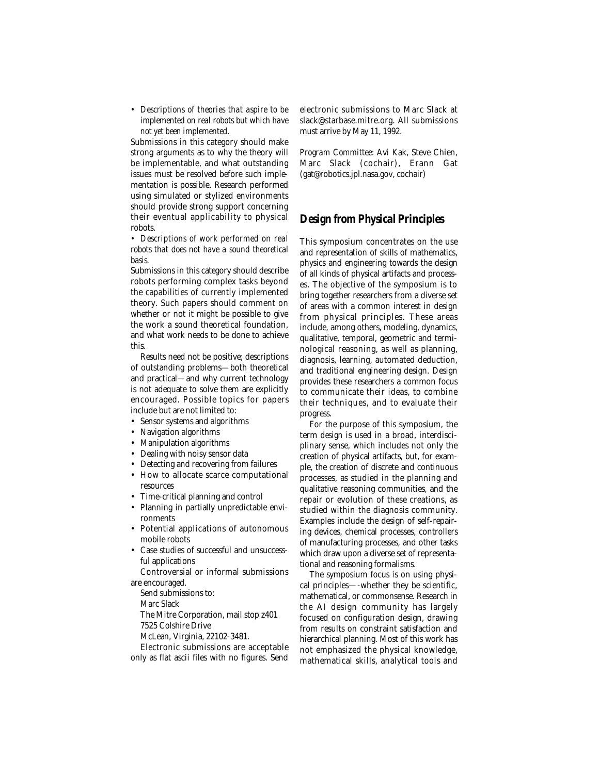*• Descriptions of theories that aspire to be implemented on real robots but which have not yet been implemented.* 

Submissions in this category should make strong arguments as to why the theory will be implementable, and what outstanding issues must be resolved before such implementation is possible. Research performed using simulated or stylized environments should provide strong support concerning their eventual applicability to physical robots.

*• Descriptions of work performed on real robots that does not have a sound theoretical basis.*

Submissions in this category should describe robots performing complex tasks beyond the capabilities of currently implemented theory. Such papers should comment on whether or not it might be possible to give the work a sound theoretical foundation, and what work needs to be done to achieve this.

Results need not be positive; descriptions of outstanding problems—both theoretical and practical—and why current technology is not adequate to solve them are explicitly encouraged. Possible topics for papers include but are not limited to:

- Sensor systems and algorithms
- Navigation algorithms
- Manipulation algorithms
- Dealing with noisy sensor data
- Detecting and recovering from failures
- How to allocate scarce computational resources
- Time-critical planning and control
- Planning in partially unpredictable environments
- Potential applications of autonomous mobile robots
- Case studies of successful and unsuccessful applications

Controversial or informal submissions are encouraged.

Send submissions to:

Marc Slack

The Mitre Corporation, mail stop z401 7525 Colshire Drive

McLean, Virginia, 22102-3481.

Electronic submissions are acceptable

only as flat ascii files with no figures. Send

electronic submissions to Marc Slack at slack@starbase.mitre.org. All submissions must arrive by May 11, 1992.

*Program Committee:* Avi Kak, Steve Chien, Marc Slack (cochair), Erann Gat (gat@robotics.jpl.nasa.gov, cochair)

### *Design from Physical Principles*

This symposium concentrates on the use and representation of skills of mathematics, physics and engineering towards the design of all kinds of physical artifacts and processes. The objective of the symposium is to bring together researchers from a diverse set of areas with a common interest in design from physical principles. These areas include, among others, modeling, dynamics, qualitative, temporal, geometric and terminological reasoning, as well as planning, diagnosis, learning, automated deduction, and traditional engineering design. Design provides these researchers a common focus to communicate their ideas, to combine their techniques, and to evaluate their progress.

For the purpose of this symposium, the term *design* is used in a broad, interdisciplinary sense, which includes not only the creation of physical artifacts, but, for example, the creation of discrete and continuous processes, as studied in the planning and qualitative reasoning communities, and the repair or evolution of these creations, as studied within the diagnosis community. Examples include the design of self-repairing devices, chemical processes, controllers of manufacturing processes, and other tasks which draw upon a diverse set of representational and reasoning formalisms.

The symposium focus is on using physical principles—-whether they be scientific, mathematical, or commonsense. Research in the AI design community has largely focused on configuration design, drawing from results on constraint satisfaction and hierarchical planning. Most of this work has not emphasized the physical knowledge, mathematical skills, analytical tools and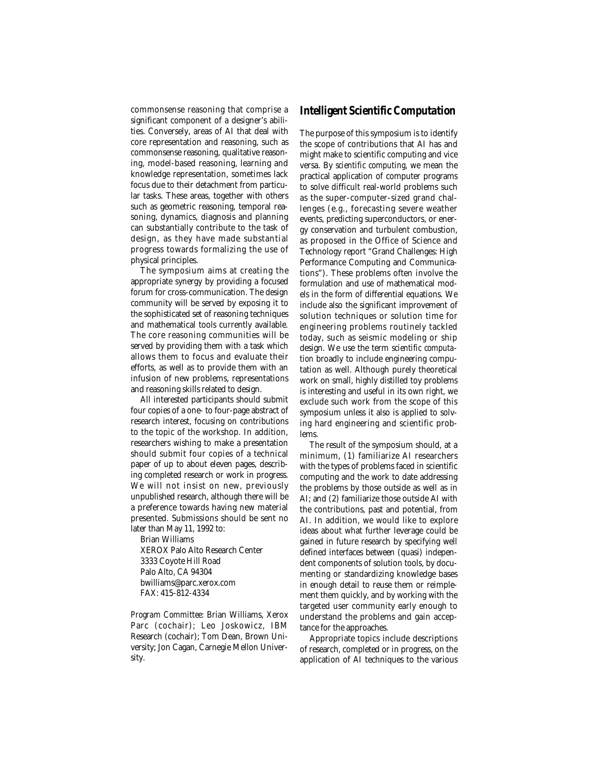commonsense reasoning that comprise a significant component of a designer's abilities. Conversely, areas of AI that deal with core representation and reasoning, such as commonsense reasoning, qualitative reasoning, model-based reasoning, learning and knowledge representation, sometimes lack focus due to their detachment from particular tasks. These areas, together with others such as geometric reasoning, temporal reasoning, dynamics, diagnosis and planning can substantially contribute to the task of design, as they have made substantial progress towards formalizing the use of physical principles.

The symposium aims at creating the appropriate synergy by providing a focused forum for cross-communication. The design community will be served by exposing it to the sophisticated set of reasoning techniques and mathematical tools currently available. The core reasoning communities will be served by providing them with a task which allows them to focus and evaluate their efforts, as well as to provide them with an infusion of new problems, representations and reasoning skills related to design.

All interested participants should submit four copies of a one- to four-page abstract of research interest, focusing on contributions to the topic of the workshop. In addition, researchers wishing to make a presentation should submit four copies of a technical paper of up to about eleven pages, describing completed research or work in progress. We will not insist on new, previously unpublished research, although there will be a preference towards having new material presented. Submissions should be sent no later than May 11, 1992 to:

Brian Williams XEROX Palo Alto Research Center 3333 Coyote Hill Road Palo Alto, CA 94304 bwilliams@parc.xerox.com FAX: 415-812-4334

*Program Committee:* Brian Williams, Xerox Parc (cochair); Leo Joskowicz, IBM Research (cochair); Tom Dean, Brown University; Jon Cagan, Carnegie Mellon University.

#### *Intelligent Scientific Computation*

The purpose of this symposium is to identify the scope of contributions that AI has and might make to scientific computing and vice versa. By *scientific computing,* we mean the practical application of computer programs to solve difficult real-world problems such as the super-computer-sized grand challenges (e.g., forecasting severe weather events, predicting superconductors, or energy conservation and turbulent combustion, as proposed in the Office of Science and Technology report "Grand Challenges: High Performance Computing and Communications"). These problems often involve the formulation and use of mathematical models in the form of differential equations. We include also the significant improvement of solution techniques or solution time for engineering problems routinely tackled today, such as seismic modeling or ship design. We use the term *scientific computation* broadly to include engineering computation as well. Although purely theoretical work on small, highly distilled toy problems is interesting and useful in its own right, we exclude such work from the scope of this symposium unless it also is applied to solving hard engineering and scientific problems.

The result of the symposium should, at a minimum, (1) familiarize AI researchers with the types of problems faced in scientific computing and the work to date addressing the problems by those outside as well as in AI; and (2) familiarize those outside AI with the contributions, past and potential, from AI. In addition, we would like to explore ideas about what further leverage could be gained in future research by specifying well defined interfaces between (quasi) independent components of solution tools, by documenting or standardizing knowledge bases in enough detail to reuse them or reimplement them quickly, and by working with the targeted user community early enough to understand the problems and gain acceptance for the approaches.

Appropriate topics include descriptions of research, completed or in progress, on the application of AI techniques to the various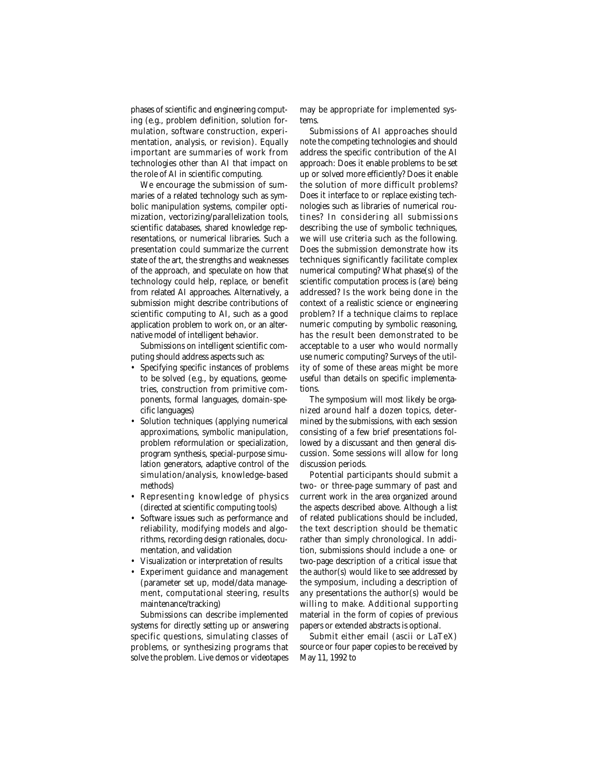phases of scientific and engineering computing (e.g., problem definition, solution formulation, software construction, experimentation, analysis, or revision). Equally important are summaries of work from technologies other than AI that impact on the role of AI in scientific computing.

We encourage the submission of summaries of a related technology such as symbolic manipulation systems, compiler optimization, vectorizing/parallelization tools, scientific databases, shared knowledge representations, or numerical libraries. Such a presentation could summarize the current state of the art, the strengths and weaknesses of the approach, and speculate on how that technology could help, replace, or benefit from related AI approaches. Alternatively, a submission might describe contributions of scientific computing to AI, such as a good application problem to work on, or an alternative model of intelligent behavior.

Submissions on intelligent scientific computing should address aspects such as:

- Specifying specific instances of problems to be solved (e.g., by equations, geometries, construction from primitive components, formal languages, domain-specific languages)
- Solution techniques (applying numerical approximations, symbolic manipulation, problem reformulation or specialization, program synthesis, special-purpose simulation generators, adaptive control of the simulation/analysis, knowledge-based methods)
- Representing knowledge of physics (directed at scientific computing tools)
- Software issues such as performance and reliability, modifying models and algorithms, recording design rationales, documentation, and validation
- Visualization or interpretation of results
- Experiment guidance and management (parameter set up, model/data management, computational steering, results maintenance/tracking)

Submissions can describe implemented systems for directly setting up or answering specific questions, simulating classes of problems, or synthesizing programs that solve the problem. Live demos or videotapes

may be appropriate for implemented systems.

Submissions of AI approaches should note the competing technologies and should address the specific contribution of the AI approach: Does it enable problems to be set up or solved more efficiently? Does it enable the solution of more difficult problems? Does it interface to or replace existing technologies such as libraries of numerical routines? In considering all submissions describing the use of symbolic techniques, we will use criteria such as the following. Does the submission demonstrate how its techniques significantly facilitate complex numerical computing? What phase(s) of the scientific computation process is (are) being addressed? Is the work being done in the context of a realistic science or engineering problem? If a technique claims to replace numeric computing by symbolic reasoning, has the result been demonstrated to be acceptable to a user who would normally use numeric computing? Surveys of the utility of some of these areas might be more useful than details on specific implementations.

The symposium will most likely be organized around half a dozen topics, determined by the submissions, with each session consisting of a few brief presentations followed by a discussant and then general discussion. Some sessions will allow for long discussion periods.

Potential participants should submit a two- or three-page summary of past and current work in the area organized around the aspects described above. Although a list of related publications should be included, the text description should be thematic rather than simply chronological. In addition, submissions should include a one- or two-page description of a critical issue that the author(s) would like to see addressed by the symposium, including a description of any presentations the author(s) would be willing to make. Additional supporting material in the form of copies of previous papers or extended abstracts is optional.

Submit either email (ascii or LaTeX) source or four paper copies to be received by May 11, 1992 to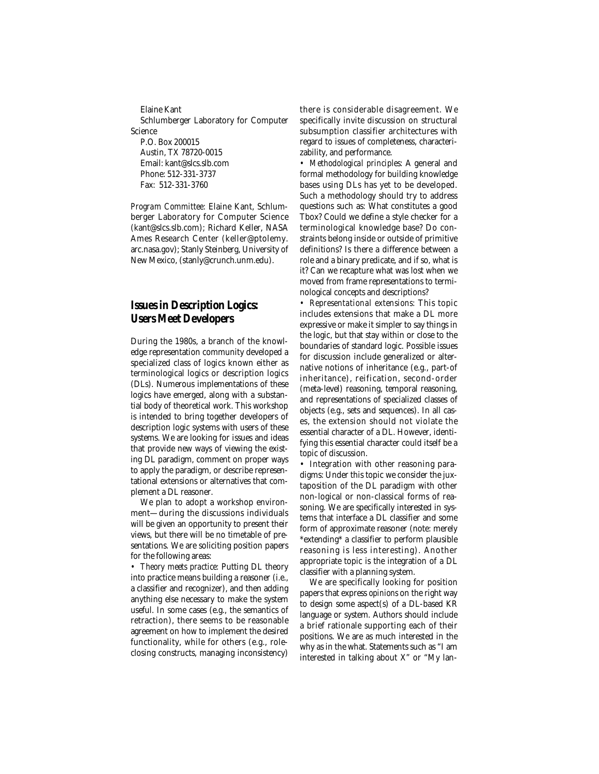Elaine Kant Schlumberger Laboratory for Computer Science P.O. Box 200015 Austin, TX 78720-0015

Email: kant@slcs.slb.com Phone: 512-331-3737 Fax: 512-331-3760

*Program Committee:* Elaine Kant, Schlumberger Laboratory for Computer Science (kant@slcs.slb.com); Richard Keller, NASA Ames Research Center (keller@ptolemy. arc.nasa.gov); Stanly Steinberg, University of New Mexico, (stanly@crunch.unm.edu).

## *Issues in Description Logics: Users Meet Developers*

During the 1980s, a branch of the knowledge representation community developed a specialized class of logics known either as terminological logics or description logics (DLs). Numerous implementations of these logics have emerged, along with a substantial body of theoretical work. This workshop is intended to bring together developers of description logic systems with users of these systems. We are looking for issues and ideas that provide new ways of viewing the existing DL paradigm, comment on proper ways to apply the paradigm, or describe representational extensions or alternatives that complement a DL reasoner.

We plan to adopt a workshop environment—during the discussions individuals will be given an opportunity to present their views, but there will be no timetable of presentations. We are soliciting position papers for the following areas:

*• Theory meets practice:* Putting DL theory into practice means building a reasoner (i.e., a classifier and recognizer), and then adding anything else necessary to make the system useful. In some cases (e.g., the semantics of retraction), there seems to be reasonable agreement on how to implement the desired functionality, while for others (e.g., roleclosing constructs, managing inconsistency)

there is considerable disagreement. We specifically invite discussion on structural subsumption classifier architectures with regard to issues of completeness, characterizability, and performance.

*• Methodological principles:* A general and formal methodology for building knowledge bases using DLs has yet to be developed. Such a methodology should try to address questions such as: What constitutes a good Tbox? Could we define a style checker for a terminological knowledge base? Do constraints belong inside or outside of primitive definitions? Is there a difference between a role and a binary predicate, and if so, what is it? Can we recapture what was lost when we moved from frame representations to terminological concepts and descriptions?

*• Representational extensions:* This topic includes extensions that make a DL more expressive or make it simpler to say things in the logic, but that stay within or close to the boundaries of standard logic. Possible issues for discussion include generalized or alternative notions of inheritance (e.g., part-of inheritance), reification, second-order (meta-level) reasoning, temporal reasoning, and representations of specialized classes of objects (e.g., sets and sequences). In all cases, the extension should not violate the essential character of a DL. However, identifying this essential character could itself be a topic of discussion.

• Integration with other reasoning paradigms: Under this topic we consider the juxtaposition of the DL paradigm with other non-logical or non-classical forms of reasoning. We are specifically interested in systems that interface a DL classifier and some form of approximate reasoner (note: merely \*extending\* a classifier to perform plausible reasoning is less interesting). Another appropriate topic is the integration of a DL classifier with a planning system.

We are specifically looking for position papers that express *opinions* on the right way to design some aspect(s) of a DL-based KR language or system. Authors should include a brief rationale supporting each of their positions. We are as much interested in the why as in the what. Statements such as "I am interested in talking about X" or "My lan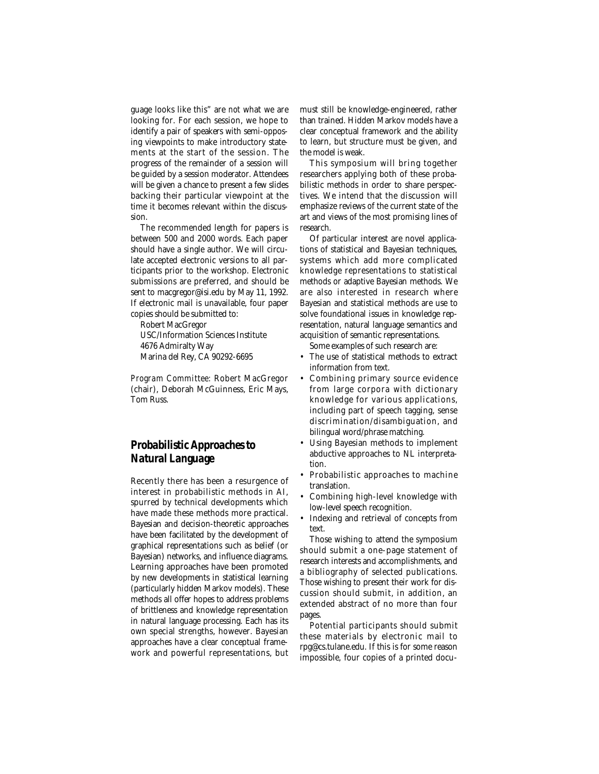guage looks like this" are *not* what we are looking for. For each session, we hope to identify a pair of speakers with semi-opposing viewpoints to make introductory statements at the start of the session. The progress of the remainder of a session will be guided by a session moderator. Attendees will be given a chance to present a few slides backing their particular viewpoint at the time it becomes relevant within the discussion.

The recommended length for papers is between 500 and 2000 words. Each paper should have a single author. We will circulate accepted electronic versions to all participants prior to the workshop. Electronic submissions are preferred, and should be sent to macgregor@isi.edu by May 11, 1992. If electronic mail is unavailable, four paper copies should be submitted to:

Robert MacGregor

USC/Information Sciences Institute 4676 Admiralty Way Marina del Rey, CA 90292-6695

*Program Committee:* Robert MacGregor (chair), Deborah McGuinness, Eric Mays, Tom Russ.

# *Probabilistic Approaches to Natural Language*

Recently there has been a resurgence of interest in probabilistic methods in AI, spurred by technical developments which have made these methods more practical. Bayesian and decision-theoretic approaches have been facilitated by the development of graphical representations such as belief (or Bayesian) networks, and influence diagrams. Learning approaches have been promoted by new developments in statistical learning (particularly hidden Markov models). These methods all offer hopes to address problems of brittleness and knowledge representation in natural language processing. Each has its own special strengths, however. Bayesian approaches have a clear conceptual framework and powerful representations, but must still be knowledge-engineered, rather than trained. Hidden Markov models have a clear conceptual framework and the ability to learn, but structure must be given, and the model is weak.

This symposium will bring together researchers applying both of these probabilistic methods in order to share perspectives. We intend that the discussion will emphasize reviews of the current state of the art and views of the most promising lines of research.

Of particular interest are novel applications of statistical and Bayesian techniques, systems which add more complicated knowledge representations to statistical methods or adaptive Bayesian methods. We are also interested in research where Bayesian and statistical methods are use to solve foundational issues in knowledge representation, natural language semantics and acquisition of semantic representations.

Some examples of such research are:

- The use of statistical methods to extract information from text.
- Combining primary source evidence from large corpora with dictionary knowledge for various applications, including part of speech tagging, sense discrimination/disambiguation, and bilingual word/phrase matching.
- Using Bayesian methods to implement abductive approaches to NL interpretation.
- Probabilistic approaches to machine translation.
- Combining high-level knowledge with low-level speech recognition.
- Indexing and retrieval of concepts from text.

Those wishing to attend the symposium should submit a one-page statement of research interests and accomplishments, and a bibliography of selected publications. Those wishing to present their work for discussion should submit, in addition, an extended abstract of no more than four pages.

Potential participants should submit these materials by electronic mail to rpg@cs.tulane.edu. If this is for some reason impossible, four copies of a printed docu